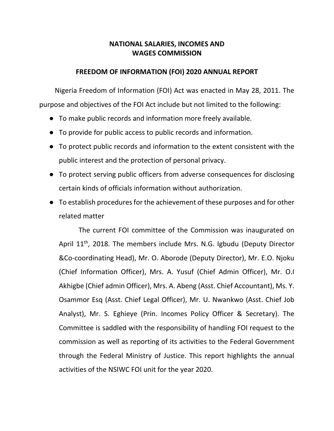### **NATIONAL SALARIES, INCOMES AND WAGES COMMISSION**

### **FREEDOM OF INFORMATION (FOI) 2020 ANNUAL REPORT**

 Nigeria Freedom of Information (FOI) Act was enacted in May 28, 2011. The purpose and objectives of the FOI Act include but not limited to the following:

- To make public records and information more freely available.
- To provide for public access to public records and information.
- To protect public records and information to the extent consistent with the public interest and the protection of personal privacy.
- To protect serving public officers from adverse consequences for disclosing certain kinds of officials information without authorization.
- To establish procedures for the achievement of these purposes and for other related matter

The current FOI committee of the Commission was inaugurated on April  $11<sup>th</sup>$ , 2018. The members include Mrs. N.G. Igbudu (Deputy Director &Co-coordinating Head), Mr. O. Aborode (Deputy Director), Mr. E.O. Njoku (Chief Information Officer), Mrs. A. Yusuf (Chief Admin Officer), Mr. O.I Akhigbe (Chief admin Officer), Mrs. A. Abeng (Asst. Chief Accountant), Ms. Y. Osammor Esq (Asst. Chief Legal Officer), Mr. U. Nwankwo (Asst. Chief Job Analyst), Mr. S. Eghieye (Prin. Incomes Policy Officer & Secretary). The Committee is saddled with the responsibility of handling FOI request to the commission as well as reporting of its activities to the Federal Government through the Federal Ministry of Justice. This report highlights the annual activities of the NSIWC FOI unit for the year 2020.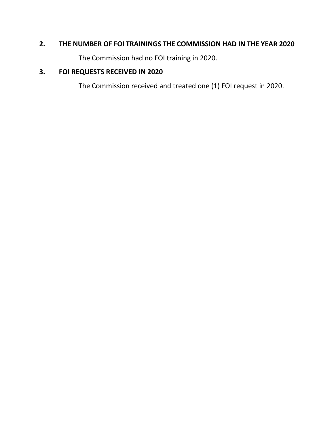## **2. THE NUMBER OF FOI TRAININGS THE COMMISSION HAD IN THE YEAR 2020**

The Commission had no FOI training in 2020.

# **3. FOI REQUESTS RECEIVED IN 2020**

The Commission received and treated one (1) FOI request in 2020.